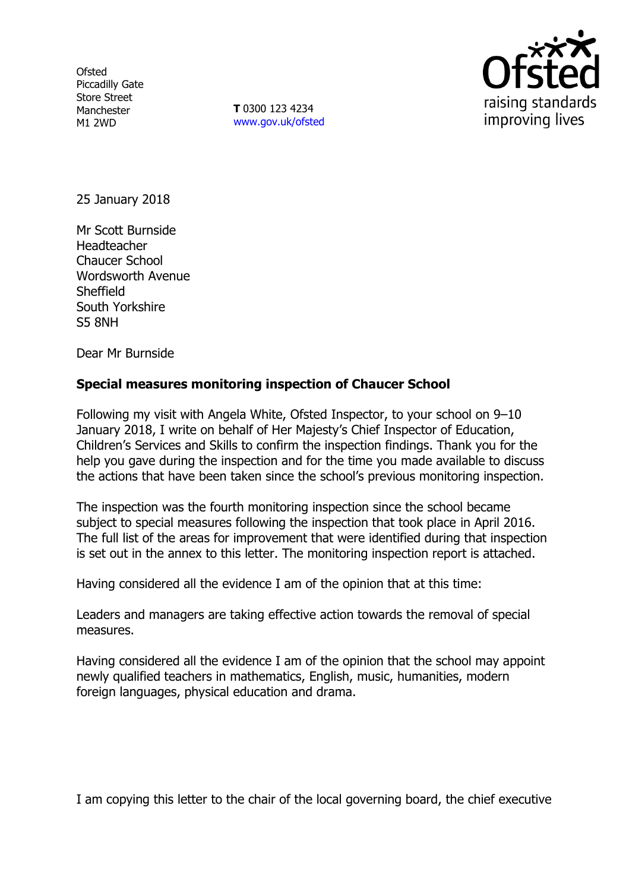**Ofsted** Piccadilly Gate Store Street Manchester M1 2WD

**T** 0300 123 4234 www.gov.uk/ofsted



25 January 2018

Mr Scott Burnside Headteacher Chaucer School Wordsworth Avenue Sheffield South Yorkshire S5 8NH

Dear Mr Burnside

### **Special measures monitoring inspection of Chaucer School**

Following my visit with Angela White, Ofsted Inspector, to your school on 9–10 January 2018, I write on behalf of Her Majesty's Chief Inspector of Education, Children's Services and Skills to confirm the inspection findings. Thank you for the help you gave during the inspection and for the time you made available to discuss the actions that have been taken since the school's previous monitoring inspection.

The inspection was the fourth monitoring inspection since the school became subject to special measures following the inspection that took place in April 2016. The full list of the areas for improvement that were identified during that inspection is set out in the annex to this letter. The monitoring inspection report is attached.

Having considered all the evidence I am of the opinion that at this time:

Leaders and managers are taking effective action towards the removal of special measures.

Having considered all the evidence I am of the opinion that the school may appoint newly qualified teachers in mathematics, English, music, humanities, modern foreign languages, physical education and drama.

I am copying this letter to the chair of the local governing board, the chief executive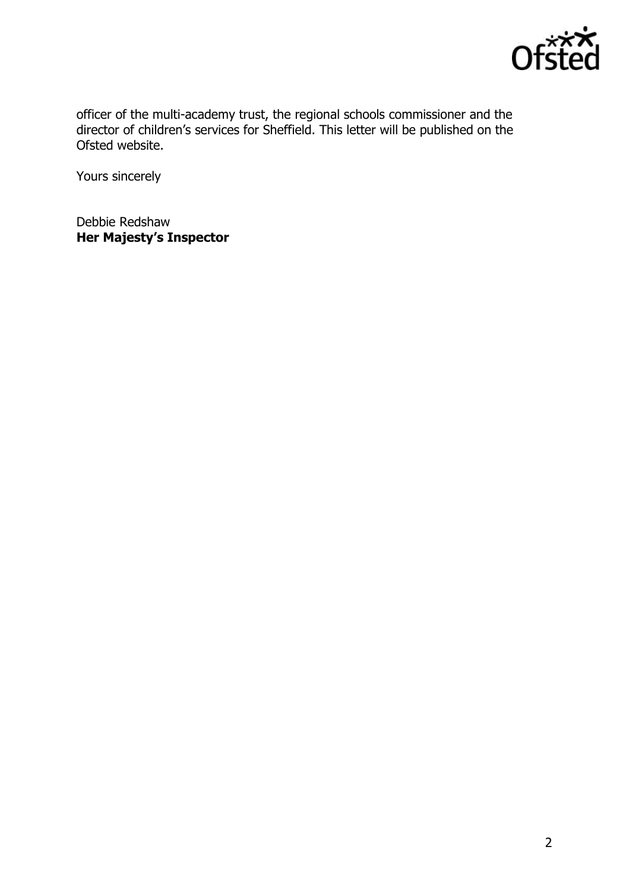

officer of the multi-academy trust, the regional schools commissioner and the director of children's services for Sheffield. This letter will be published on the Ofsted website.

Yours sincerely

Debbie Redshaw **Her Majesty's Inspector**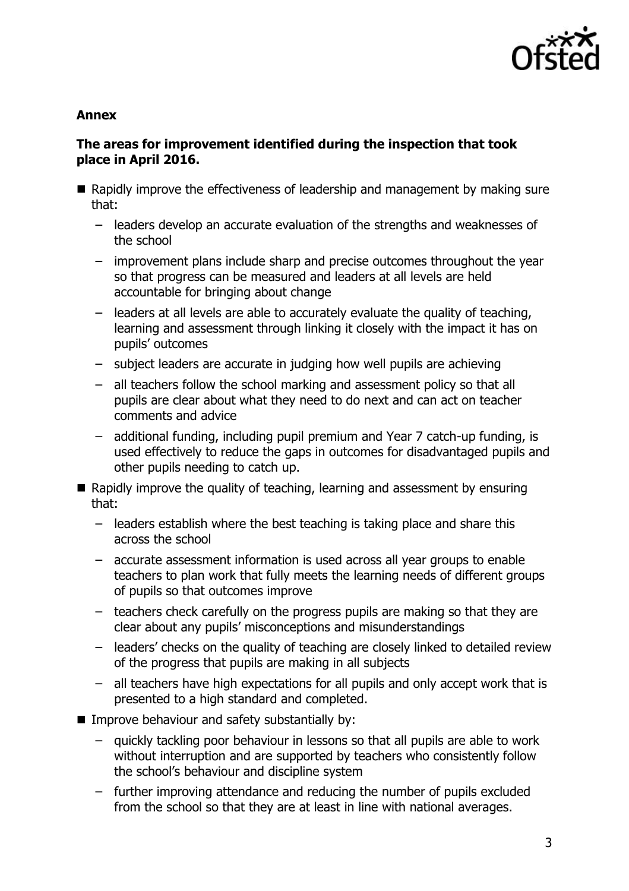

### **Annex**

# **The areas for improvement identified during the inspection that took place in April 2016.**

- Rapidly improve the effectiveness of leadership and management by making sure that:
	- leaders develop an accurate evaluation of the strengths and weaknesses of the school
	- improvement plans include sharp and precise outcomes throughout the year so that progress can be measured and leaders at all levels are held accountable for bringing about change
	- leaders at all levels are able to accurately evaluate the quality of teaching, learning and assessment through linking it closely with the impact it has on pupils' outcomes
	- subject leaders are accurate in judging how well pupils are achieving
	- all teachers follow the school marking and assessment policy so that all pupils are clear about what they need to do next and can act on teacher comments and advice
	- additional funding, including pupil premium and Year 7 catch-up funding, is used effectively to reduce the gaps in outcomes for disadvantaged pupils and other pupils needing to catch up.
- Rapidly improve the quality of teaching, learning and assessment by ensuring that:
	- leaders establish where the best teaching is taking place and share this across the school
	- accurate assessment information is used across all year groups to enable teachers to plan work that fully meets the learning needs of different groups of pupils so that outcomes improve
	- teachers check carefully on the progress pupils are making so that they are clear about any pupils' misconceptions and misunderstandings
	- leaders' checks on the quality of teaching are closely linked to detailed review of the progress that pupils are making in all subjects
	- all teachers have high expectations for all pupils and only accept work that is presented to a high standard and completed.
- $\blacksquare$  Improve behaviour and safety substantially by:
	- quickly tackling poor behaviour in lessons so that all pupils are able to work without interruption and are supported by teachers who consistently follow the school's behaviour and discipline system
	- further improving attendance and reducing the number of pupils excluded from the school so that they are at least in line with national averages.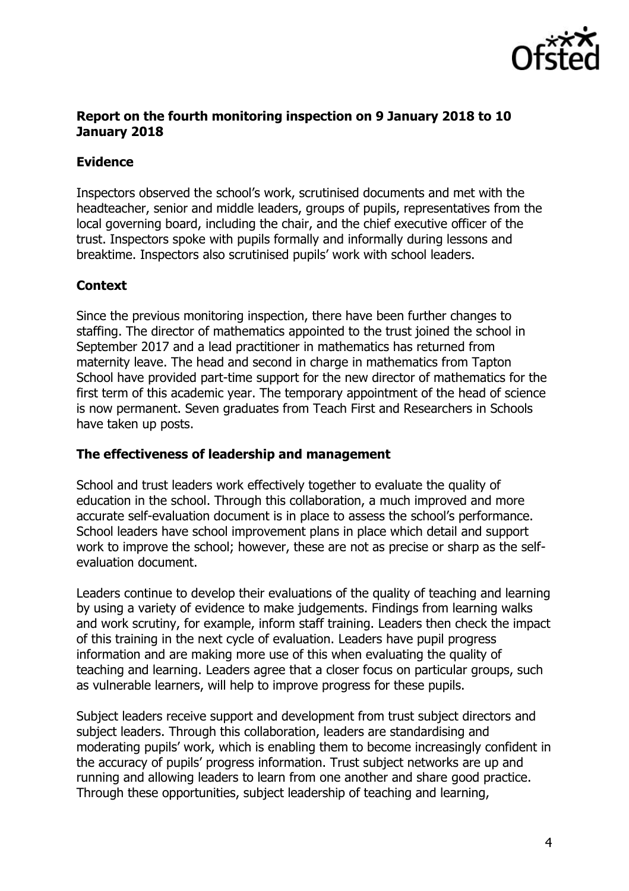

### **Report on the fourth monitoring inspection on 9 January 2018 to 10 January 2018**

### **Evidence**

Inspectors observed the school's work, scrutinised documents and met with the headteacher, senior and middle leaders, groups of pupils, representatives from the local governing board, including the chair, and the chief executive officer of the trust. Inspectors spoke with pupils formally and informally during lessons and breaktime. Inspectors also scrutinised pupils' work with school leaders.

# **Context**

Since the previous monitoring inspection, there have been further changes to staffing. The director of mathematics appointed to the trust joined the school in September 2017 and a lead practitioner in mathematics has returned from maternity leave. The head and second in charge in mathematics from Tapton School have provided part-time support for the new director of mathematics for the first term of this academic year. The temporary appointment of the head of science is now permanent. Seven graduates from Teach First and Researchers in Schools have taken up posts.

### **The effectiveness of leadership and management**

School and trust leaders work effectively together to evaluate the quality of education in the school. Through this collaboration, a much improved and more accurate self-evaluation document is in place to assess the school's performance. School leaders have school improvement plans in place which detail and support work to improve the school; however, these are not as precise or sharp as the selfevaluation document.

Leaders continue to develop their evaluations of the quality of teaching and learning by using a variety of evidence to make judgements. Findings from learning walks and work scrutiny, for example, inform staff training. Leaders then check the impact of this training in the next cycle of evaluation. Leaders have pupil progress information and are making more use of this when evaluating the quality of teaching and learning. Leaders agree that a closer focus on particular groups, such as vulnerable learners, will help to improve progress for these pupils.

Subject leaders receive support and development from trust subject directors and subject leaders. Through this collaboration, leaders are standardising and moderating pupils' work, which is enabling them to become increasingly confident in the accuracy of pupils' progress information. Trust subject networks are up and running and allowing leaders to learn from one another and share good practice. Through these opportunities, subject leadership of teaching and learning,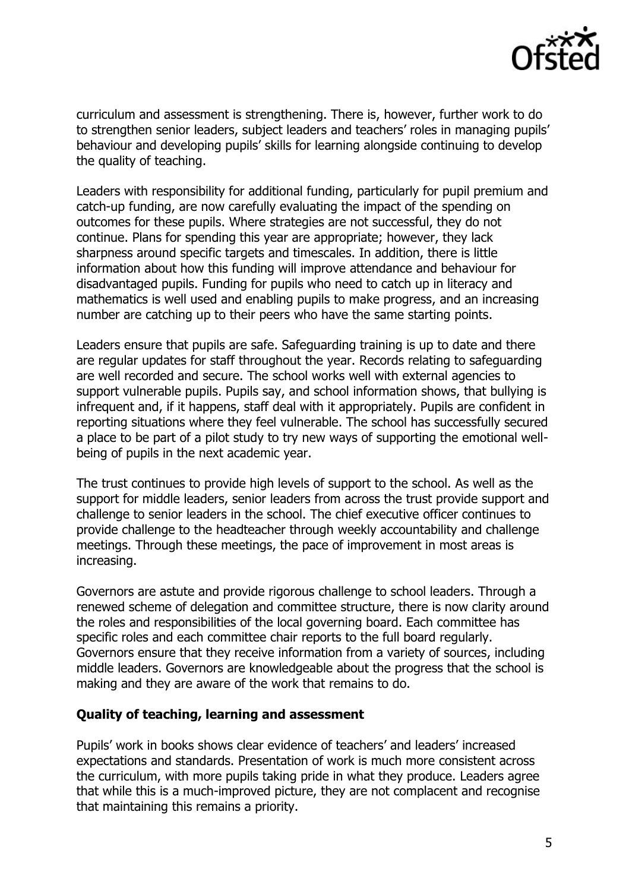

curriculum and assessment is strengthening. There is, however, further work to do to strengthen senior leaders, subject leaders and teachers' roles in managing pupils' behaviour and developing pupils' skills for learning alongside continuing to develop the quality of teaching.

Leaders with responsibility for additional funding, particularly for pupil premium and catch-up funding, are now carefully evaluating the impact of the spending on outcomes for these pupils. Where strategies are not successful, they do not continue. Plans for spending this year are appropriate; however, they lack sharpness around specific targets and timescales. In addition, there is little information about how this funding will improve attendance and behaviour for disadvantaged pupils. Funding for pupils who need to catch up in literacy and mathematics is well used and enabling pupils to make progress, and an increasing number are catching up to their peers who have the same starting points.

Leaders ensure that pupils are safe. Safeguarding training is up to date and there are regular updates for staff throughout the year. Records relating to safeguarding are well recorded and secure. The school works well with external agencies to support vulnerable pupils. Pupils say, and school information shows, that bullying is infrequent and, if it happens, staff deal with it appropriately. Pupils are confident in reporting situations where they feel vulnerable. The school has successfully secured a place to be part of a pilot study to try new ways of supporting the emotional wellbeing of pupils in the next academic year.

The trust continues to provide high levels of support to the school. As well as the support for middle leaders, senior leaders from across the trust provide support and challenge to senior leaders in the school. The chief executive officer continues to provide challenge to the headteacher through weekly accountability and challenge meetings. Through these meetings, the pace of improvement in most areas is increasing.

Governors are astute and provide rigorous challenge to school leaders. Through a renewed scheme of delegation and committee structure, there is now clarity around the roles and responsibilities of the local governing board. Each committee has specific roles and each committee chair reports to the full board regularly. Governors ensure that they receive information from a variety of sources, including middle leaders. Governors are knowledgeable about the progress that the school is making and they are aware of the work that remains to do.

#### **Quality of teaching, learning and assessment**

Pupils' work in books shows clear evidence of teachers' and leaders' increased expectations and standards. Presentation of work is much more consistent across the curriculum, with more pupils taking pride in what they produce. Leaders agree that while this is a much-improved picture, they are not complacent and recognise that maintaining this remains a priority.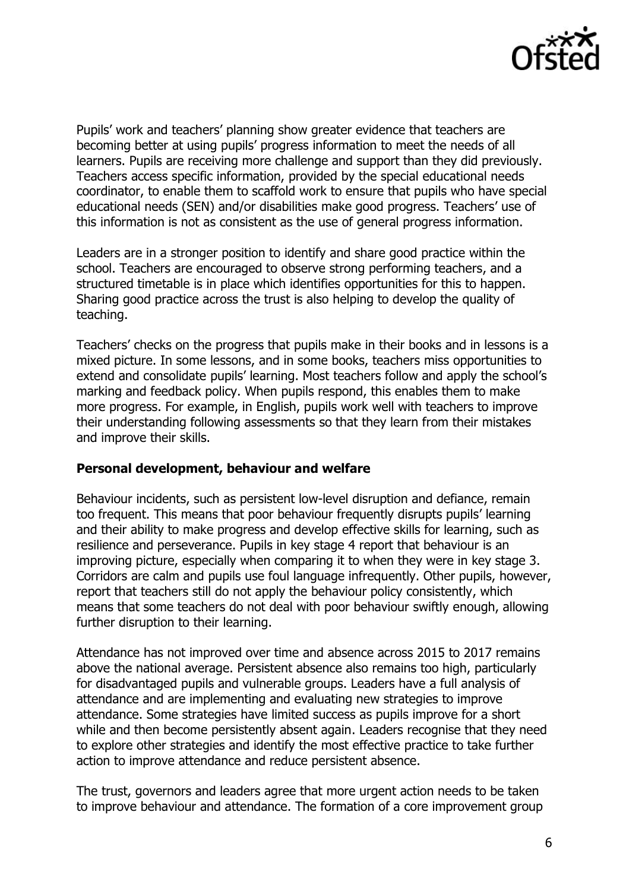

Pupils' work and teachers' planning show greater evidence that teachers are becoming better at using pupils' progress information to meet the needs of all learners. Pupils are receiving more challenge and support than they did previously. Teachers access specific information, provided by the special educational needs coordinator, to enable them to scaffold work to ensure that pupils who have special educational needs (SEN) and/or disabilities make good progress. Teachers' use of this information is not as consistent as the use of general progress information.

Leaders are in a stronger position to identify and share good practice within the school. Teachers are encouraged to observe strong performing teachers, and a structured timetable is in place which identifies opportunities for this to happen. Sharing good practice across the trust is also helping to develop the quality of teaching.

Teachers' checks on the progress that pupils make in their books and in lessons is a mixed picture. In some lessons, and in some books, teachers miss opportunities to extend and consolidate pupils' learning. Most teachers follow and apply the school's marking and feedback policy. When pupils respond, this enables them to make more progress. For example, in English, pupils work well with teachers to improve their understanding following assessments so that they learn from their mistakes and improve their skills.

### **Personal development, behaviour and welfare**

Behaviour incidents, such as persistent low-level disruption and defiance, remain too frequent. This means that poor behaviour frequently disrupts pupils' learning and their ability to make progress and develop effective skills for learning, such as resilience and perseverance. Pupils in key stage 4 report that behaviour is an improving picture, especially when comparing it to when they were in key stage 3. Corridors are calm and pupils use foul language infrequently. Other pupils, however, report that teachers still do not apply the behaviour policy consistently, which means that some teachers do not deal with poor behaviour swiftly enough, allowing further disruption to their learning.

Attendance has not improved over time and absence across 2015 to 2017 remains above the national average. Persistent absence also remains too high, particularly for disadvantaged pupils and vulnerable groups. Leaders have a full analysis of attendance and are implementing and evaluating new strategies to improve attendance. Some strategies have limited success as pupils improve for a short while and then become persistently absent again. Leaders recognise that they need to explore other strategies and identify the most effective practice to take further action to improve attendance and reduce persistent absence.

The trust, governors and leaders agree that more urgent action needs to be taken to improve behaviour and attendance. The formation of a core improvement group